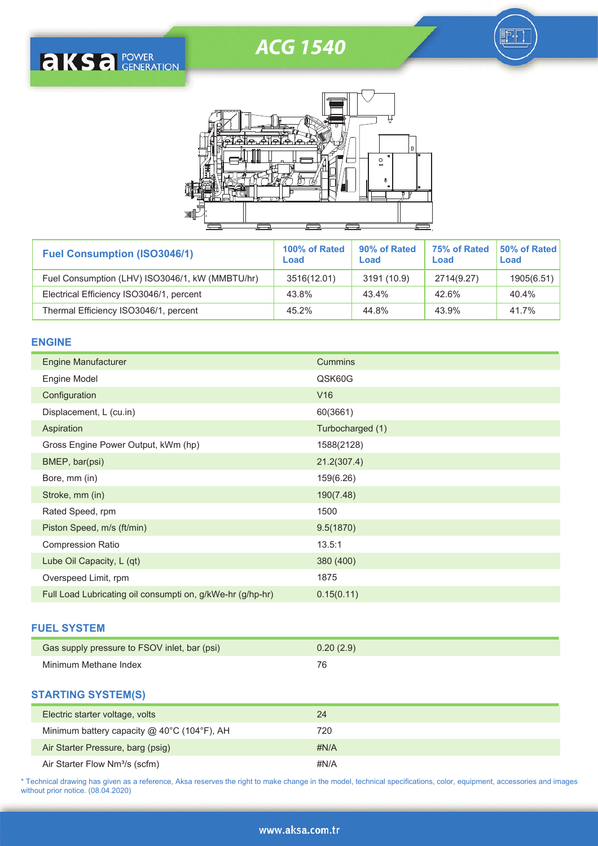# ACG 1540







| <b>Fuel Consumption (ISO3046/1)</b>             | 100% of Rated<br>Load | 90% of Rated<br>Load | 75% of Rated<br>Load | 50% of Rated<br>Load |
|-------------------------------------------------|-----------------------|----------------------|----------------------|----------------------|
| Fuel Consumption (LHV) ISO3046/1, kW (MMBTU/hr) | 3516(12.01)           | 3191 (10.9)          | 2714(9.27)           | 1905(6.51)           |
| Electrical Efficiency ISO3046/1, percent        | 43.8%                 | 43.4%                | 42.6%                | 40.4%                |
| Thermal Efficiency ISO3046/1, percent           | 45.2%                 | 44.8%                | 43.9%                | 41.7%                |

## **ENGINE**

| <b>Engine Manufacturer</b>                                 | <b>Cummins</b>   |
|------------------------------------------------------------|------------------|
| Engine Model                                               | QSK60G           |
| Configuration                                              | V16              |
| Displacement, L (cu.in)                                    | 60(3661)         |
| Aspiration                                                 | Turbocharged (1) |
| Gross Engine Power Output, kWm (hp)                        | 1588(2128)       |
| BMEP, bar(psi)                                             | 21.2(307.4)      |
| Bore, mm (in)                                              | 159(6.26)        |
| Stroke, mm (in)                                            | 190(7.48)        |
| Rated Speed, rpm                                           | 1500             |
| Piston Speed, m/s (ft/min)                                 | 9.5(1870)        |
| <b>Compression Ratio</b>                                   | 13.5:1           |
| Lube Oil Capacity, L (qt)                                  | 380 (400)        |
| Overspeed Limit, rpm                                       | 1875             |
| Full Load Lubricating oil consumpti on, g/kWe-hr (g/hp-hr) | 0.15(0.11)       |

## **FUEL SYSTEM**

| Gas supply pressure to FSOV inlet, bar (psi) | 0.20(2.9) |
|----------------------------------------------|-----------|
| Minimum Methane Index                        | 76        |

#### **STARTING SYSTEM(S)**

| Electric starter voltage, volts                      | 24           |
|------------------------------------------------------|--------------|
| Minimum battery capacity $@$ 40 $°C$ (104 $°F$ ), AH | 720          |
| Air Starter Pressure, barg (psig)                    | $\sharp N/A$ |
| Air Starter Flow Nm <sup>3</sup> /s (scfm)           | #N/A         |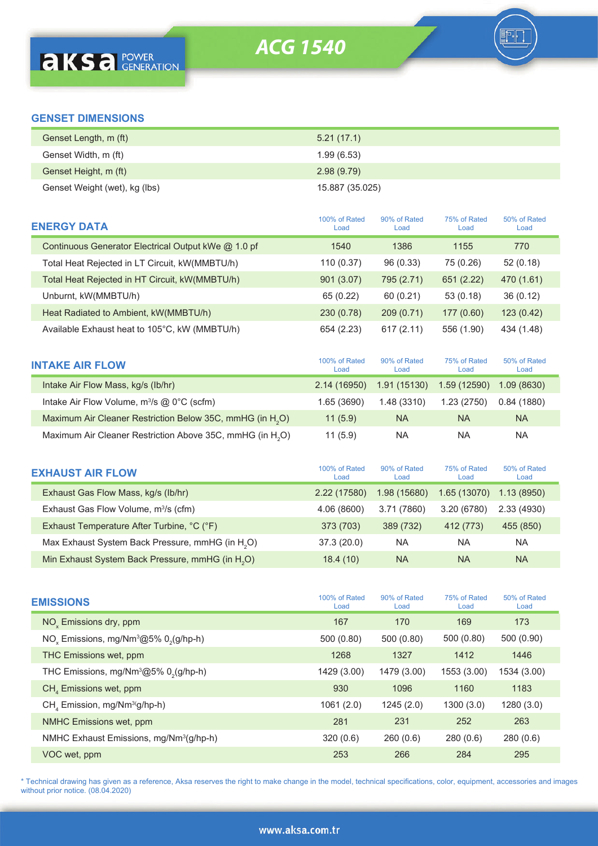h

# **GENSET DIMENSIONS**

| Genset Length, m (ft)         | 5.21(17.1)      |
|-------------------------------|-----------------|
| Genset Width, m (ft)          | 1.99(6.53)      |
| Genset Height, m (ft)         | 2.98(9.79)      |
| Genset Weight (wet), kg (lbs) | 15.887 (35.025) |

| <b>ENERGY DATA</b>                                  | 100% of Rated<br>Load | 90% of Rated<br>Load | 75% of Rated<br>Load | 50% of Rated<br>Load |
|-----------------------------------------------------|-----------------------|----------------------|----------------------|----------------------|
| Continuous Generator Electrical Output kWe @ 1.0 pf | 1540                  | 1386                 | 1155                 | 770                  |
| Total Heat Rejected in LT Circuit, kW(MMBTU/h)      | 110 (0.37)            | 96(0.33)             | 75 (0.26)            | 52(0.18)             |
| Total Heat Rejected in HT Circuit, kW(MMBTU/h)      | 901 (3.07)            | 795 (2.71)           | 651 (2.22)           | 470 (1.61)           |
| Unburnt, kW(MMBTU/h)                                | 65 (0.22)             | 60(0.21)             | 53(0.18)             | 36(0.12)             |
| Heat Radiated to Ambient, kW(MMBTU/h)               | 230 (0.78)            | 209(0.71)            | 177(0.60)            | 123(0.42)            |
| Available Exhaust heat to 105°C, kW (MMBTU/h)       | 654 (2.23)            | 617 (2.11)           | 556 (1.90)           | 434 (1.48)           |

| <b>INTAKE AIR FLOW</b>                                                | 100% of Rated<br>Load | 90% of Rated<br>Load | 75% of Rated<br>Load | 50% of Rated<br>Load |  |
|-----------------------------------------------------------------------|-----------------------|----------------------|----------------------|----------------------|--|
| Intake Air Flow Mass, kg/s (lb/hr)                                    | 2.14 (16950)          | 1.91 (15130)         | 1.59 (12590)         | 1.09(8630)           |  |
| Intake Air Flow Volume, m <sup>3</sup> /s @ 0°C (scfm)                | 1.65(3690)            | 1.48 (3310)          | 1.23(2750)           | 0.84(1880)           |  |
| Maximum Air Cleaner Restriction Below 35C, mmHG (in H <sub>2</sub> O) | 11(5.9)               | <b>NA</b>            | <b>NA</b>            | <b>NA</b>            |  |
| Maximum Air Cleaner Restriction Above 35C, mmHG (in H <sub>2</sub> O) | 11(5.9)               | ΝA                   | NA                   | NA.                  |  |

| <b>EXHAUST AIR FLOW</b>                                      | 100% of Rated<br>Load | 90% of Rated<br>Load | 75% of Rated<br>Load | 50% of Rated<br>Load |  |
|--------------------------------------------------------------|-----------------------|----------------------|----------------------|----------------------|--|
| Exhaust Gas Flow Mass, kg/s (lb/hr)                          | 2.22 (17580)          | 1.98 (15680)         | 1.65 (13070)         | 1.13(8950)           |  |
| Exhaust Gas Flow Volume, m <sup>3</sup> /s (cfm)             | 4.06 (8600)           | 3.71 (7860)          | 3.20 (6780)          | 2.33(4930)           |  |
| Exhaust Temperature After Turbine, °C (°F)                   | 373 (703)             | 389 (732)            | 412 (773)            | 455 (850)            |  |
| Max Exhaust System Back Pressure, mmHG (in H <sub>2</sub> O) | 37.3(20.0)            | <b>NA</b>            | ΝA                   | NA.                  |  |
| Min Exhaust System Back Pressure, mmHG (in H <sub>2</sub> O) | 18.4(10)              | <b>NA</b>            | <b>NA</b>            | <b>NA</b>            |  |

| <b>EMISSIONS</b>                                               | 100% of Rated<br>Load | 90% of Rated<br>Load | 75% of Rated<br>Load | 50% of Rated<br>Load |
|----------------------------------------------------------------|-----------------------|----------------------|----------------------|----------------------|
| NO <sub>v</sub> Emissions dry, ppm                             | 167                   | 170                  | 169                  | 173                  |
| NO <sub>v</sub> Emissions, mg/Nm <sup>3</sup> @5% $02(g/hp-h)$ | 500 (0.80)            | 500 (0.80)           | 500 (0.80)           | 500 (0.90)           |
| THC Emissions wet, ppm                                         | 1268                  | 1327                 | 1412                 | 1446                 |
| THC Emissions, mg/Nm $^3$ @5% 0 <sub>2</sub> (g/hp-h)          | 1429 (3.00)           | 1479 (3.00)          | 1553 (3.00)          | 1534 (3.00)          |
| $CH4$ Emissions wet, ppm                                       | 930                   | 1096                 | 1160                 | 1183                 |
| $CHa$ Emission, mg/Nm <sup>3(</sup> g/hp-h)                    | 1061(2.0)             | 1245(2.0)            | 1300(3.0)            | 1280(3.0)            |
| NMHC Emissions wet, ppm                                        | 281                   | 231                  | 252                  | 263                  |
| NMHC Exhaust Emissions, mg/Nm <sup>3</sup> (g/hp-h)            | 320(0.6)              | 260(0.6)             | 280(0.6)             | 280(0.6)             |
| VOC wet, ppm                                                   | 253                   | 266                  | 284                  | 295                  |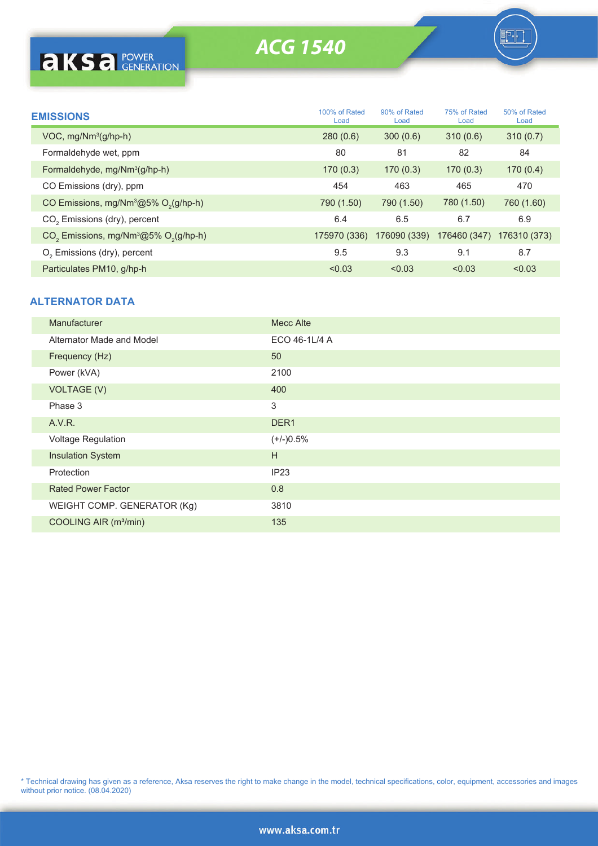# ACG 1540

**F** 

| <b>EMISSIONS</b>                                                | 100% of Rated<br>Load | 90% of Rated<br>Load | 75% of Rated<br>Load | 50% of Rated<br>Load |  |
|-----------------------------------------------------------------|-----------------------|----------------------|----------------------|----------------------|--|
| $VOC$ , mg/ $Nm^3$ (g/hp-h)                                     | 280(0.6)              | 300(0.6)             | 310(0.6)             | 310(0.7)             |  |
| Formaldehyde wet, ppm                                           | 80                    | 81                   | 82                   | 84                   |  |
| Formaldehyde, mg/Nm <sup>3</sup> (g/hp-h)                       | 170(0.3)              | 170(0.3)             | 170(0.3)             | 170(0.4)             |  |
| CO Emissions (dry), ppm                                         | 454                   | 463                  | 465                  | 470                  |  |
| CO Emissions, mg/Nm $^3$ @5% O <sub>2</sub> (g/hp-h)            | 790 (1.50)            | 790 (1.50)           | 780 (1.50)           | 760 (1.60)           |  |
| CO <sub>2</sub> Emissions (dry), percent                        | 6.4                   | 6.5                  | 6.7                  | 6.9                  |  |
| $CO2$ Emissions, mg/Nm <sup>3</sup> @5% O <sub>2</sub> (g/hp-h) | 175970 (336)          | 176090 (339)         | 176460 (347)         | 176310 (373)         |  |
| O <sub>2</sub> Emissions (dry), percent                         | 9.5                   | 9.3                  | 9.1                  | 8.7                  |  |
| Particulates PM10, g/hp-h                                       | < 0.03                | < 0.03               | < 0.03               | < 0.03               |  |

### **ALTERNATOR DATA**

| Manufacturer                      | <b>Mecc Alte</b> |
|-----------------------------------|------------------|
| Alternator Made and Model         | ECO 46-1L/4 A    |
| Frequency (Hz)                    | 50               |
| Power (kVA)                       | 2100             |
| <b>VOLTAGE (V)</b>                | 400              |
| Phase 3                           | 3                |
| A.V.R.                            | DER <sub>1</sub> |
| Voltage Regulation                | $(+/-)0.5%$      |
| <b>Insulation System</b>          | H                |
| Protection                        | IP23             |
| <b>Rated Power Factor</b>         | 0.8              |
| WEIGHT COMP. GENERATOR (Kg)       | 3810             |
| COOLING AIR (m <sup>3</sup> /min) | 135              |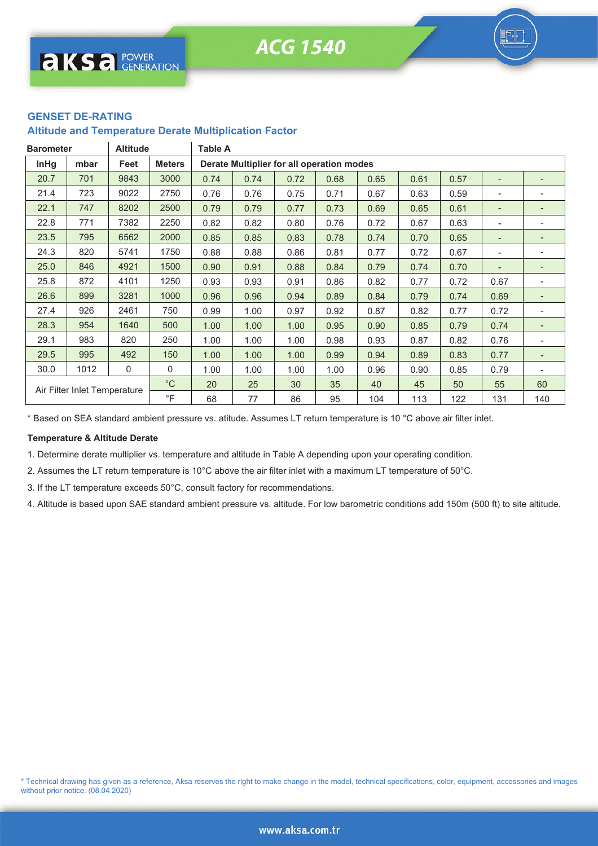### **GENSET DE-RATING**

#### **Altitude and Temperature Derate Multiplication Factor**

| <b>Barometer</b>             |      | <b>Altitude</b> |               | Table A |      |                                           |      |      |      |      |                          |     |
|------------------------------|------|-----------------|---------------|---------|------|-------------------------------------------|------|------|------|------|--------------------------|-----|
| <b>InHg</b>                  | mbar | Feet            | <b>Meters</b> |         |      | Derate Multiplier for all operation modes |      |      |      |      |                          |     |
| 20.7                         | 701  | 9843            | 3000          | 0.74    | 0.74 | 0.72                                      | 0.68 | 0.65 | 0.61 | 0.57 |                          |     |
| 21.4                         | 723  | 9022            | 2750          | 0.76    | 0.76 | 0.75                                      | 0.71 | 0.67 | 0.63 | 0.59 | -                        |     |
| 22.1                         | 747  | 8202            | 2500          | 0.79    | 0.79 | 0.77                                      | 0.73 | 0.69 | 0.65 | 0.61 | $\qquad \qquad -$        |     |
| 22.8                         | 771  | 7382            | 2250          | 0.82    | 0.82 | 0.80                                      | 0.76 | 0.72 | 0.67 | 0.63 | -                        |     |
| 23.5                         | 795  | 6562            | 2000          | 0.85    | 0.85 | 0.83                                      | 0.78 | 0.74 | 0.70 | 0.65 | $\overline{\phantom{a}}$ |     |
| 24.3                         | 820  | 5741            | 1750          | 0.88    | 0.88 | 0.86                                      | 0.81 | 0.77 | 0.72 | 0.67 | -                        |     |
| 25.0                         | 846  | 4921            | 1500          | 0.90    | 0.91 | 0.88                                      | 0.84 | 0.79 | 0.74 | 0.70 |                          |     |
| 25.8                         | 872  | 4101            | 1250          | 0.93    | 0.93 | 0.91                                      | 0.86 | 0.82 | 0.77 | 0.72 | 0.67                     |     |
| 26.6                         | 899  | 3281            | 1000          | 0.96    | 0.96 | 0.94                                      | 0.89 | 0.84 | 0.79 | 0.74 | 0.69                     |     |
| 27.4                         | 926  | 2461            | 750           | 0.99    | 1.00 | 0.97                                      | 0.92 | 0.87 | 0.82 | 0.77 | 0.72                     |     |
| 28.3                         | 954  | 1640            | 500           | 1.00    | 1.00 | 1.00                                      | 0.95 | 0.90 | 0.85 | 0.79 | 0.74                     |     |
| 29.1                         | 983  | 820             | 250           | 1.00    | 1.00 | 1.00                                      | 0.98 | 0.93 | 0.87 | 0.82 | 0.76                     |     |
| 29.5                         | 995  | 492             | 150           | 1.00    | 1.00 | 1.00                                      | 0.99 | 0.94 | 0.89 | 0.83 | 0.77                     |     |
| 30.0                         | 1012 | 0               | 0             | 1.00    | 1.00 | 1.00                                      | 1.00 | 0.96 | 0.90 | 0.85 | 0.79                     |     |
|                              |      |                 | $^{\circ}$ C  | 20      | 25   | 30                                        | 35   | 40   | 45   | 50   | 55                       | 60  |
| Air Filter Inlet Temperature |      |                 | $\circ$ F     | 68      | 77   | 86                                        | 95   | 104  | 113  | 122  | 131                      | 140 |

\* Based on SEA standard ambient pressure vs. atitude. Assumes LT return temperature is 10 °C above air filter inlet.

#### **Temperature & Altitude Derate**

1. Determine derate multiplier vs. temperature and altitude in Table A depending upon your operating condition.

2. Assumes the LT return temperature is 10°C above the air filter inlet with a maximum LT temperature of 50°C.

3. If the LT temperature exceeds 50°C, consult factory for recommendations.

4. Altitude is based upon SAE standard ambient pressure vs. altitude. For low barometric conditions add 150m (500 ft) to site altitude.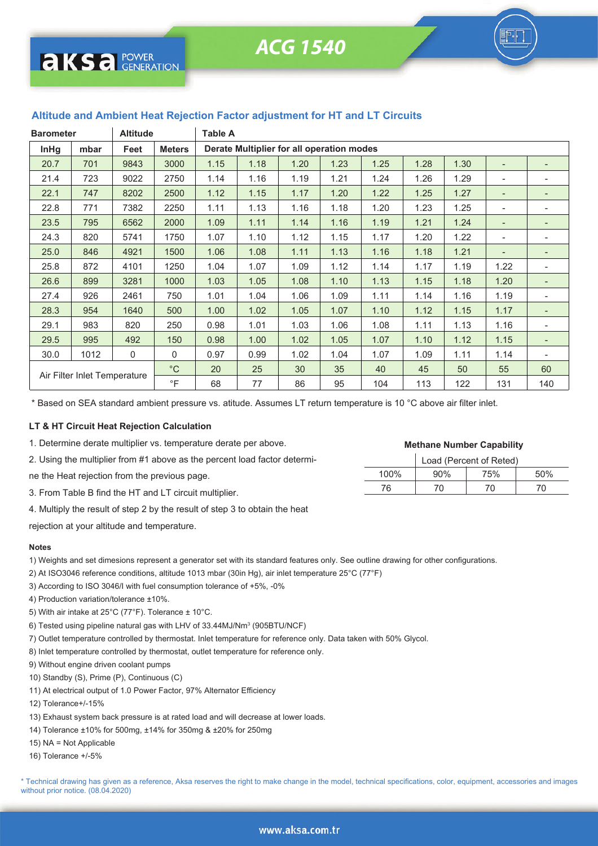

| <b>Barometer</b>             |      | Altitude |               | Table A                                   |      |      |      |      |      |      |                          |                          |
|------------------------------|------|----------|---------------|-------------------------------------------|------|------|------|------|------|------|--------------------------|--------------------------|
| <b>InHg</b>                  | mbar | Feet     | <b>Meters</b> | Derate Multiplier for all operation modes |      |      |      |      |      |      |                          |                          |
| 20.7                         | 701  | 9843     | 3000          | 1.15                                      | 1.18 | 1.20 | 1.23 | 1.25 | 1.28 | 1.30 |                          |                          |
| 21.4                         | 723  | 9022     | 2750          | 1.14                                      | 1.16 | 1.19 | 1.21 | 1.24 | 1.26 | 1.29 | $\overline{\phantom{a}}$ | ۰                        |
| 22.1                         | 747  | 8202     | 2500          | 1.12                                      | 1.15 | 1.17 | 1.20 | 1.22 | 1.25 | 1.27 |                          | -                        |
| 22.8                         | 771  | 7382     | 2250          | 1.11                                      | 1.13 | 1.16 | 1.18 | 1.20 | 1.23 | 1.25 | $\overline{a}$           | $\overline{\phantom{0}}$ |
| 23.5                         | 795  | 6562     | 2000          | 1.09                                      | 1.11 | 1.14 | 1.16 | 1.19 | 1.21 | 1.24 | $\overline{a}$           | $\overline{a}$           |
| 24.3                         | 820  | 5741     | 1750          | 1.07                                      | 1.10 | 1.12 | 1.15 | 1.17 | 1.20 | 1.22 |                          | ۰                        |
| 25.0                         | 846  | 4921     | 1500          | 1.06                                      | 1.08 | 1.11 | 1.13 | 1.16 | 1.18 | 1.21 | $\overline{\phantom{a}}$ | $\overline{\phantom{a}}$ |
| 25.8                         | 872  | 4101     | 1250          | 1.04                                      | 1.07 | 1.09 | 1.12 | 1.14 | 1.17 | 1.19 | 1.22                     | ۰                        |
| 26.6                         | 899  | 3281     | 1000          | 1.03                                      | 1.05 | 1.08 | 1.10 | 1.13 | 1.15 | 1.18 | 1.20                     | $\overline{\phantom{a}}$ |
| 27.4                         | 926  | 2461     | 750           | 1.01                                      | 1.04 | 1.06 | 1.09 | 1.11 | 1.14 | 1.16 | 1.19                     | ۰                        |
| 28.3                         | 954  | 1640     | 500           | 1.00                                      | 1.02 | 1.05 | 1.07 | 1.10 | 1.12 | 1.15 | 1.17                     | $\overline{\phantom{0}}$ |
| 29.1                         | 983  | 820      | 250           | 0.98                                      | 1.01 | 1.03 | 1.06 | 1.08 | 1.11 | 1.13 | 1.16                     | ۰                        |
| 29.5                         | 995  | 492      | 150           | 0.98                                      | 1.00 | 1.02 | 1.05 | 1.07 | 1.10 | 1.12 | 1.15                     | $\overline{\phantom{a}}$ |
| 30.0                         | 1012 | 0        | 0             | 0.97                                      | 0.99 | 1.02 | 1.04 | 1.07 | 1.09 | 1.11 | 1.14                     |                          |
| Air Filter Inlet Temperature |      |          | $^{\circ}$ C  | 20                                        | 25   | 30   | 35   | 40   | 45   | 50   | 55                       | 60                       |
|                              |      |          | $\circ$ F     | 68                                        | 77   | 86   | 95   | 104  | 113  | 122  | 131                      | 140                      |

## **Altitude and Ambient Heat Rejection Factor adjustment for HT and LT Circuits**

\* Based on SEA standard ambient pressure vs. atitude. Assumes LT return temperature is 10 °C above air filter inlet.

#### **LT & HT Circuit Heat Rejection Calculation**

- 1. Determine derate multiplier vs. temperature derate per above.
- 2. Using the multiplier from #1 above as the percent load factor determi-
- ne the Heat rejection from the previous page.
- 3. From Table B find the HT and LT circuit multiplier.
- 4. Multiply the result of step 2 by the result of step 3 to obtain the heat

rejection at your altitude and temperature.

#### **Notes**

- 1) Weights and set dimesions represent a generator set with its standard features only. See outline drawing for other configurations.
- 2) At ISO3046 reference conditions, altitude 1013 mbar (30in Hg), air inlet temperature 25°C (77°F)
- 3) According to ISO 3046/I with fuel consumption tolerance of +5%, -0%
- 4) Production variation/tolerance ±10%.
- 5) With air intake at 25°C (77°F). Tolerance ± 10°C.
- 6) Tested using pipeline natural gas with LHV of 33.44MJ/Nm<sup>3</sup> (905BTU/NCF)
- 7) Outlet temperature controlled by thermostat. Inlet temperature for reference only. Data taken with 50% Glycol.
- 8) Inlet temperature controlled by thermostat, outlet temperature for reference only.
- 9) Without engine driven coolant pumps
- 10) Standby (S), Prime (P), Continuous (C)
- 11) At electrical output of 1.0 Power Factor, 97% Alternator Efficiency
- 12) Tolerance+/-15%
- 13) Exhaust system back pressure is at rated load and will decrease at lower loads.
- 14) Tolerance ±10% for 500mg, ±14% for 350mg & ±20% for 250mg
- 15) NA = Not Applicable
- 16) Tolerance +/-5%

\* Technical drawing has given as a reference, Aksa reserves the right to make change in the model, technical specifications, color, equipment, accessories and images without prior notice. (08.04.2020)

# 76 70 70 70

100% 90% 75% 50%

Load (Percent of Reted) **Methane Number Capability**